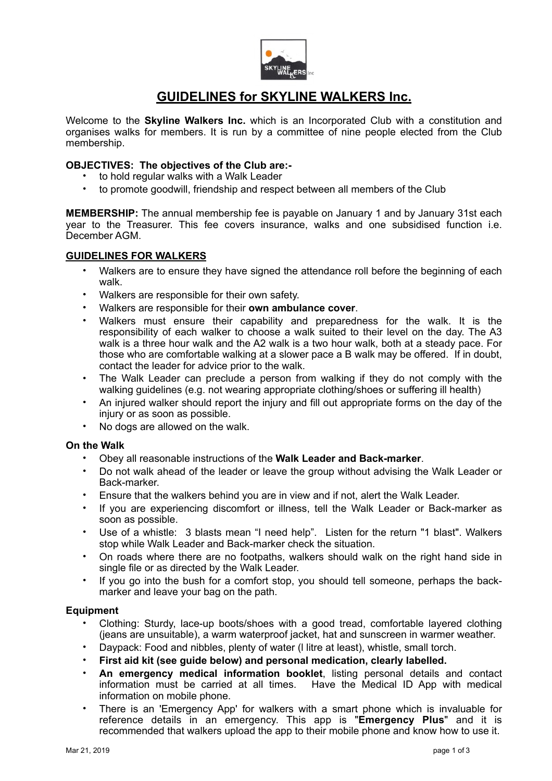

# **GUIDELINES for SKYLINE WALKERS Inc.**

Welcome to the **Skyline Walkers Inc.** which is an Incorporated Club with a constitution and organises walks for members. It is run by a committee of nine people elected from the Club membership.

### **OBJECTIVES: The objectives of the Club are:-**

- to hold regular walks with a Walk Leader
- to promote goodwill, friendship and respect between all members of the Club

**MEMBERSHIP:** The annual membership fee is payable on January 1 and by January 31st each year to the Treasurer. This fee covers insurance, walks and one subsidised function i.e. December AGM.

### **GUIDELINES FOR WALKERS**

- Walkers are to ensure they have signed the attendance roll before the beginning of each walk.
- Walkers are responsible for their own safety.
- Walkers are responsible for their **own ambulance cover**.
- Walkers must ensure their capability and preparedness for the walk. It is the responsibility of each walker to choose a walk suited to their level on the day. The A3 walk is a three hour walk and the A2 walk is a two hour walk, both at a steady pace. For those who are comfortable walking at a slower pace a B walk may be offered. If in doubt, contact the leader for advice prior to the walk.
- The Walk Leader can preclude a person from walking if they do not comply with the walking guidelines (e.g. not wearing appropriate clothing/shoes or suffering ill health)
- An injured walker should report the injury and fill out appropriate forms on the day of the injury or as soon as possible.
- No dogs are allowed on the walk.

# **On the Walk**

- Obey all reasonable instructions of the **Walk Leader and Back-marker**.
- Do not walk ahead of the leader or leave the group without advising the Walk Leader or Back-marker.
- Ensure that the walkers behind you are in view and if not, alert the Walk Leader.
- If you are experiencing discomfort or illness, tell the Walk Leader or Back-marker as soon as possible.
- Use of a whistle: 3 blasts mean "I need help". Listen for the return "1 blast". Walkers stop while Walk Leader and Back-marker check the situation.
- On roads where there are no footpaths, walkers should walk on the right hand side in single file or as directed by the Walk Leader.
- If you go into the bush for a comfort stop, you should tell someone, perhaps the backmarker and leave your bag on the path.

### **Equipment**

- Clothing: Sturdy, lace-up boots/shoes with a good tread, comfortable layered clothing (jeans are unsuitable), a warm waterproof jacket, hat and sunscreen in warmer weather.
- Daypack: Food and nibbles, plenty of water (l litre at least), whistle, small torch.
- **First aid kit (see guide below) and personal medication, clearly labelled.**
- **An emergency medical information booklet**, listing personal details and contact information must be carried at all times. Have the Medical ID App with medical information on mobile phone.
- There is an 'Emergency App' for walkers with a smart phone which is invaluable for reference details in an emergency. This app is "**Emergency Plus**" and it is recommended that walkers upload the app to their mobile phone and know how to use it.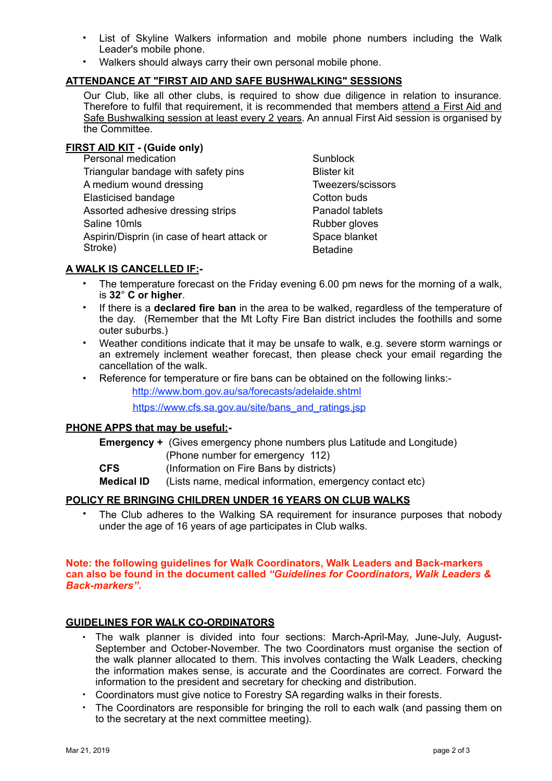- List of Skyline Walkers information and mobile phone numbers including the Walk Leader's mobile phone.
- Walkers should always carry their own personal mobile phone.

# **ATTENDANCE AT "FIRST AID AND SAFE BUSHWALKING" SESSIONS**

Our Club, like all other clubs, is required to show due diligence in relation to insurance. Therefore to fulfil that requirement, it is recommended that members attend a First Aid and Safe Bushwalking session at least every 2 years. An annual First Aid session is organised by the Committee.

# **FIRST AID KIT - (Guide only)**

Personal medication Triangular bandage with safety pins A medium wound dressing Elasticised bandage Assorted adhesive dressing strips Saline 10mls Aspirin/Disprin (in case of heart attack or Stroke) Stroke) and the set of the Betadine

Sunblock Blister kit Tweezers/scissors Cotton buds Panadol tablets Rubber gloves Space blanket

# **A WALK IS CANCELLED IF:-**

- The temperature forecast on the Friday evening 6.00 pm news for the morning of a walk. is **32**° **C or higher**.
- If there is a **declared fire ban** in the area to be walked, regardless of the temperature of the day. (Remember that the Mt Lofty Fire Ban district includes the foothills and some outer suburbs.)
- Weather conditions indicate that it may be unsafe to walk, e.g. severe storm warnings or an extremely inclement weather forecast, then please check your email regarding the cancellation of the walk.
- Reference for temperature or fire bans can be obtained on the following links:-

<http://www.bom.gov.au/sa/forecasts/adelaide.shtml>

[https://www.cfs.sa.gov.au/site/bans\\_and\\_ratings.jsp](https://www.cfs.sa.gov.au/site/bans_and_ratings.jsp)

### **PHONE APPS that may be useful:-**

**Emergency +** (Gives emergency phone numbers plus Latitude and Longitude) (Phone number for emergency 112)

**CFS** (Information on Fire Bans by districts)

**Medical ID** (Lists name, medical information, emergency contact etc)

# **POLICY RE BRINGING CHILDREN UNDER 16 YEARS ON CLUB WALKS**

• The Club adheres to the Walking SA requirement for insurance purposes that nobody under the age of 16 years of age participates in Club walks.

#### **Note: the following guidelines for Walk Coordinators, Walk Leaders and Back-markers can also be found in the document called** *"Guidelines for Coordinators, Walk Leaders & Back-markers"***.**

### **GUIDELINES FOR WALK CO-ORDINATORS**

- The walk planner is divided into four sections: March-April-May, June-July, August-September and October-November. The two Coordinators must organise the section of the walk planner allocated to them. This involves contacting the Walk Leaders, checking the information makes sense, is accurate and the Coordinates are correct. Forward the information to the president and secretary for checking and distribution.
- Coordinators must give notice to Forestry SA regarding walks in their forests.
- The Coordinators are responsible for bringing the roll to each walk (and passing them on to the secretary at the next committee meeting).